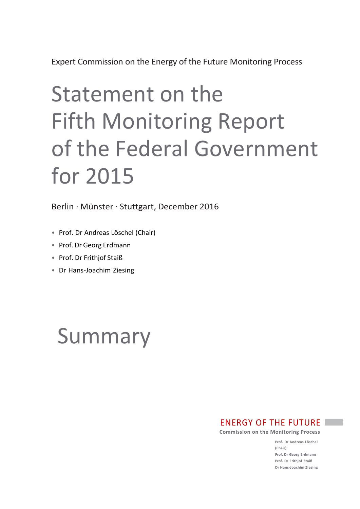# Statement on the Fifth Monitoring Report of the Federal Government for 2015

Berlin · Münster · Stuttgart, December 2016

- Prof. Dr Andreas Löschel (Chair)
- Prof. Dr Georg Erdmann
- Prof. Dr Frithjof Staiß
- Dr Hans-Joachim Ziesing

# Summary

ENERGY OF THE FUTURE

**Commission on the Monitoring Process**

**Prof. Dr Andreas Löschel (Chair) Prof. Dr Georg Erdmann Prof. Dr Frithjof Staiß Dr Hans-Joachim Ziesing**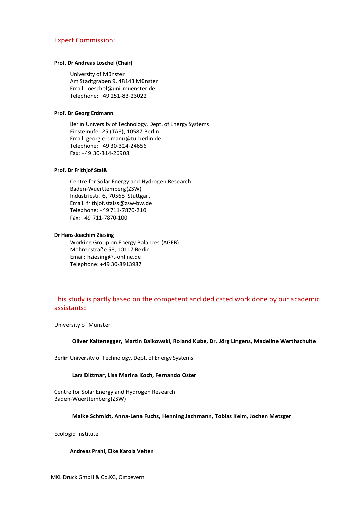# Expert Commission:

# **Prof. Dr Andreas Löschel (Chair)**

University of Münster Am Stadtgraben 9, 48143 Münster Email: loeschel@uni-muenster.de Telephone: +49 251-83-23022

# **Prof. Dr Georg Erdmann**

Berlin University of Technology, Dept. of Energy Systems Einsteinufer 25 (TA8), 10587 Berlin Email: [georg.erdmann@tu-berlin.de](mailto:georg.erdmann@tu-berlin.de) Telephone: +49 30-314-24656 Fax: +49 30-314-26908

# **Prof. Dr Frithjof Staiß**

Centre for Solar Energy and Hydrogen Research Baden-Wuerttemberg(ZSW) Industriestr. 6, 70565 Stuttgart Email[: frithjof.staiss@zsw-bw.de](mailto:frithjof.staiss@zsw-bw.de) Telephone: +49 711-7870-210 Fax: +49 711-7870-100

# **Dr Hans-Joachim Ziesing**

Working Group on Energy Balances (AGEB) Mohrenstraße 58, 10117 Berlin Email: [hziesing@t-online.de](mailto:hziesing@t-online.de) Telephone: +49 30-8913987

# This study is partly based on the competent and dedicated work done by our academic assistants:

University of Münster

# **Oliver Kaltenegger, Martin Baikowski, Roland Kube, Dr. Jörg Lingens, Madeline Werthschulte**

Berlin University of Technology, Dept. of Energy Systems

# **Lars Dittmar, Lisa Marina Koch, Fernando Oster**

Centre for Solar Energy and Hydrogen Research Baden-Wuerttemberg(ZSW)

# **Maike Schmidt, Anna-Lena Fuchs, Henning Jachmann, Tobias Kelm, Jochen Metzger**

Ecologic Institute

#### **Andreas Prahl, Eike Karola Velten**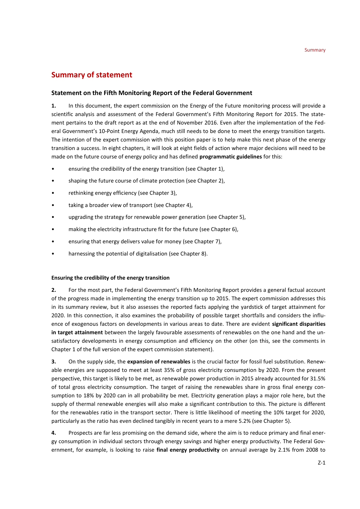# **Summary of statement**

# **Statement on the Fifth Monitoring Report of the Federal Government**

**1.** In this document, the expert commission on the Energy of the Future monitoring process will provide a scientific analysis and assessment of the Federal Government's Fifth Monitoring Report for 2015. The statement pertains to the draft report as at the end of November 2016. Even after the implementation of the Federal Government's 10-Point Energy Agenda, much still needs to be done to meet the energy transition targets. The intention of the expert commission with this position paper is to help make this next phase of the energy transition a success. In eight chapters, it will look at eight fields of action where major decisions will need to be made on the future course of energy policy and has defined **programmatic guidelines** for this:

- ensuring the credibility of the energy transition (see Chapter 1),
- shaping the future course of climate protection (see Chapter 2),
- rethinking energy efficiency (see Chapter 3),
- taking a broader view of transport (see Chapter 4),
- upgrading the strategy for renewable power generation (see Chapter 5),
- making the electricity infrastructure fit for the future (see Chapter 6),
- ensuring that energy delivers value for money (see Chapter 7),
- harnessing the potential of digitalisation (see Chapter 8).

# **Ensuring the credibility of the energy transition**

**2.** For the most part, the Federal Government's Fifth Monitoring Report provides a general factual account of the progress made in implementing the energy transition up to 2015. The expert commission addresses this in its summary review, but it also assesses the reported facts applying the yardstick of target attainment for 2020. In this connection, it also examines the probability of possible target shortfalls and considers the influence of exogenous factors on developments in various areas to date. There are evident **significant disparities in target attainment** between the largely favourable assessments of renewables on the one hand and the unsatisfactory developments in energy consumption and efficiency on the other (on this, see the comments in Chapter 1 of the full version of the expert commission statement).

**3.** On the supply side, the **expansion of renewables** is the crucial factor for fossil fuel substitution. Renewable energies are supposed to meet at least 35% of gross electricity consumption by 2020. From the present perspective, this target is likely to be met, as renewable power production in 2015 already accounted for 31.5% of total gross electricity consumption. The target of raising the renewables share in gross final energy consumption to 18% by 2020 can in all probability be met. Electricity generation plays a major role here, but the supply of thermal renewable energies will also make a significant contribution to this. The picture is different for the renewables ratio in the transport sector. There is little likelihood of meeting the 10% target for 2020, particularly as the ratio has even declined tangibly in recent years to a mere 5.2% (see Chapter 5).

**4.** Prospects are far less promising on the demand side, where the aim is to reduce primary and final energy consumption in individual sectors through energy savings and higher energy productivity. The Federal Government, for example, is looking to raise **final energy productivity** on annual average by 2.1% from 2008 to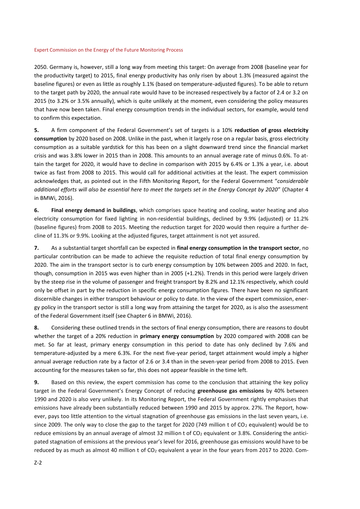2050. Germany is, however, still a long way from meeting this target: On average from 2008 (baseline year for the productivity target) to 2015, final energy productivity has only risen by about 1.3% (measured against the baseline figures) or even as little as roughly 1.1% (based on temperature-adjusted figures). To be able to return to the target path by 2020, the annual rate would have to be increased respectively by a factor of 2.4 or 3.2 on 2015 (to 3.2% or 3.5% annually), which is quite unlikely at the moment, even considering the policy measures that have now been taken. Final energy consumption trends in the individual sectors, for example, would tend to confirm this expectation.

**5.** A firm component of the Federal Government's set of targets is a 10% **reduction of gross electricity consumption** by 2020 based on 2008. Unlike in the past, when it largely rose on a regular basis, gross electricity consumption as a suitable yardstick for this has been on a slight downward trend since the financial market crisis and was 3.8% lower in 2015 than in 2008. This amounts to an annual average rate of minus 0.6%. To attain the target for 2020, it would have to decline in comparison with 2015 by 6.4% or 1.3% a year, i.e. about twice as fast from 2008 to 2015. This would call for additional activities at the least. The expert commission acknowledges that, as pointed out in the Fifth Monitoring Report, for the Federal Government "*considerable additional efforts will also be essential here to meet the targets set in the Energy Concept by 2020*" (Chapter 4 in BMWi, 2016).

**6. Final energy demand in buildings**, which comprises space heating and cooling, water heating and also electricity consumption for fixed lighting in non-residential buildings, declined by 9.9% (adjusted) or 11.2% (baseline figures) from 2008 to 2015. Meeting the reduction target for 2020 would then require a further decline of 11.3% or 9.9%. Looking at the adjusted figures, target attainment is not yet assured.

**7.** As a substantial target shortfall can be expected in **final energy consumption in the transport sector**, no particular contribution can be made to achieve the requisite reduction of total final energy consumption by 2020. The aim in the transport sector is to curb energy consumption by 10% between 2005 and 2020. In fact, though, consumption in 2015 was even higher than in 2005 (+1.2%). Trends in this period were largely driven by the steep rise in the volume of passenger and freight transport by 8.2% and 12.1% respectively, which could only be offset in part by the reduction in specific energy consumption figures. There have been no significant discernible changes in either transport behaviour or policy to date. In the view of the expert commission, energy policy in the transport sector is still a long way from attaining the target for 2020, as is also the assessment of the Federal Government itself (see Chapter 6 in BMWi, 2016).

**8.** Considering these outlined trends in the sectors of final energy consumption, there are reasons to doubt whether the target of a 20% reduction in **primary energy consumption** by 2020 compared with 2008 can be met. So far at least, primary energy consumption in this period to date has only declined by 7.6% and temperature-adjusted by a mere 6.3%. For the next five-year period, target attainment would imply a higher annual average reduction rate by a factor of 2.6 or 3.4 than in the seven-year period from 2008 to 2015. Even accounting for the measures taken so far, this does not appear feasible in the time left.

**9.** Based on this review, the expert commission has come to the conclusion that attaining the key policy target in the Federal Government's Energy Concept of reducing **greenhouse gas emissions** by 40% between 1990 and 2020 is also very unlikely. In its Monitoring Report, the Federal Government rightly emphasises that emissions have already been substantially reduced between 1990 and 2015 by approx. 27%. The Report, however, pays too little attention to the virtual stagnation of greenhouse gas emissions in the last seven years, i.e. since 2009. The only way to close the gap to the target for 2020 (749 million t of CO<sub>2</sub> equivalent) would be to reduce emissions by an annual average of almost 32 million t of CO<sub>2</sub> equivalent or 3.8%. Considering the anticipated stagnation of emissions at the previous year's level for 2016, greenhouse gas emissions would have to be reduced by as much as almost 40 million t of CO<sub>2</sub> equivalent a year in the four years from 2017 to 2020. Com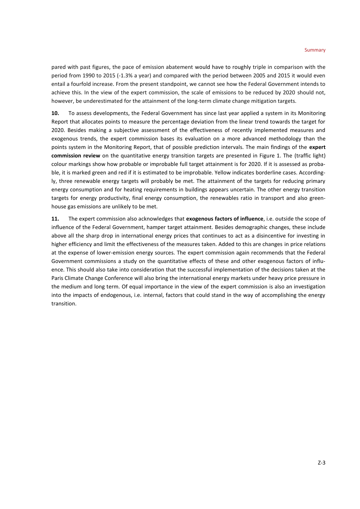pared with past figures, the pace of emission abatement would have to roughly triple in comparison with the period from 1990 to 2015 (-1.3% a year) and compared with the period between 2005 and 2015 it would even entail a fourfold increase. From the present standpoint, we cannot see how the Federal Government intends to achieve this. In the view of the expert commission, the scale of emissions to be reduced by 2020 should not, however, be underestimated for the attainment of the long-term climate change mitigation targets.

**10.** To assess developments, the Federal Government has since last year applied a system in its Monitoring Report that allocates points to measure the percentage deviation from the linear trend towards the target for 2020. Besides making a subjective assessment of the effectiveness of recently implemented measures and exogenous trends, the expert commission bases its evaluation on a more advanced methodology than the points system in the Monitoring Report, that of possible prediction intervals. The main findings of the **expert commission review** on the quantitative energy transition targets are presented in Figure 1. The (traffic light) colour markings show how probable or improbable full target attainment is for 2020. If it is assessed as probable, it is marked green and red if it is estimated to be improbable. Yellow indicates borderline cases. Accordingly, three renewable energy targets will probably be met. The attainment of the targets for reducing primary energy consumption and for heating requirements in buildings appears uncertain. The other energy transition targets for energy productivity, final energy consumption, the renewables ratio in transport and also greenhouse gas emissions are unlikely to be met.

**11.** The expert commission also acknowledges that **exogenous factors of influence**, i.e. outside the scope of influence of the Federal Government, hamper target attainment. Besides demographic changes, these include above all the sharp drop in international energy prices that continues to act as a disincentive for investing in higher efficiency and limit the effectiveness of the measures taken. Added to this are changes in price relations at the expense of lower-emission energy sources. The expert commission again recommends that the Federal Government commissions a study on the quantitative effects of these and other exogenous factors of influence. This should also take into consideration that the successful implementation of the decisions taken at the Paris Climate Change Conference will also bring the international energy markets under heavy price pressure in the medium and long term. Of equal importance in the view of the expert commission is also an investigation into the impacts of endogenous, i.e. internal, factors that could stand in the way of accomplishing the energy transition.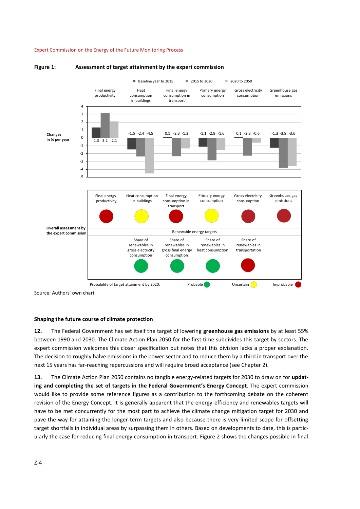

#### **Figure 1: Assessment of target attainment by the expert commission**

Source: Authors' own chart

# **Shaping the future course of climate protection**

**12.** The Federal Government has set itself the target of lowering **greenhouse gas emissions** by at least 55% between 1990 and 2030. The Climate Action Plan 2050 for the first time subdivides this target by sectors. The expert commission welcomes this closer specification but notes that this division lacks a proper explanation. The decision to roughly halve emissions in the power sector and to reduce them by a third in transport over the next 15 years has far-reaching repercussions and will require broad acceptance (see Chapter 2).

**13.** The Climate Action Plan 2050 contains no tangible energy-related targets for 2030 to draw on for **updating and completing the set of targets in the Federal Government's Energy Concept**. The expert commission would like to provide some reference figures as a contribution to the forthcoming debate on the coherent revision of the Energy Concept. It is generally apparent that the energy-efficiency and renewables targets will have to be met concurrently for the most part to achieve the climate change mitigation target for 2030 and pave the way for attaining the longer-term targets and also because there is very limited scope for offsetting target shortfalls in individual areas by surpassing them in others. Based on developments to date, this is particularly the case for reducing final energy consumption in transport. Figure 2 shows the changes possible in final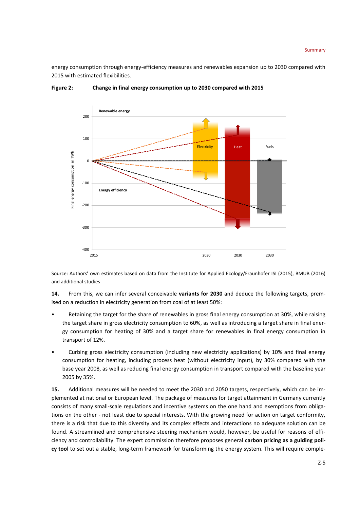energy consumption through energy-efficiency measures and renewables expansion up to 2030 compared with 2015 with estimated flexibilities.



**Figure 2: Change in final energy consumption up to 2030 compared with 2015**

Source: Authors' own estimates based on data from the Institute for Applied Ecology/Fraunhofer ISI (2015), BMUB (2016) and additional studies

**14.** From this, we can infer several conceivable **variants for 2030** and deduce the following targets, premised on a reduction in electricity generation from coal of at least 50%:

- Retaining the target for the share of renewables in gross final energy consumption at 30%, while raising the target share in gross electricity consumption to 60%, as well as introducing a target share in final energy consumption for heating of 30% and a target share for renewables in final energy consumption in transport of 12%.
- Curbing gross electricity consumption (including new electricity applications) by 10% and final energy consumption for heating, including process heat (without electricity input), by 30% compared with the base year 2008, as well as reducing final energy consumption in transport compared with the baseline year 2005 by 35%.

**15.** Additional measures will be needed to meet the 2030 and 2050 targets, respectively, which can be implemented at national or European level. The package of measures for target attainment in Germany currently consists of many small-scale regulations and incentive systems on the one hand and exemptions from obligations on the other - not least due to special interests. With the growing need for action on target conformity, there is a risk that due to this diversity and its complex effects and interactions no adequate solution can be found. A streamlined and comprehensive steering mechanism would, however, be useful for reasons of efficiency and controllability. The expert commission therefore proposes general **carbon pricing as a guiding policy tool** to set out a stable, long-term framework for transforming the energy system. This will require comple-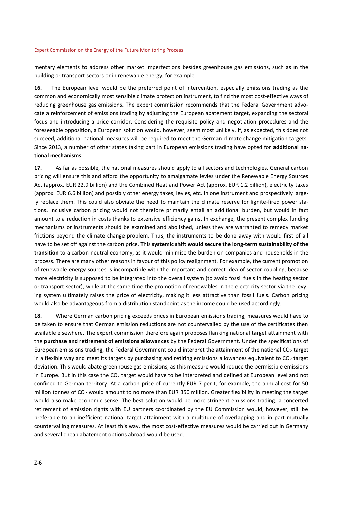mentary elements to address other market imperfections besides greenhouse gas emissions, such as in the building or transport sectors or in renewable energy, for example.

**16.** The European level would be the preferred point of intervention, especially emissions trading as the common and economically most sensible climate protection instrument, to find the most cost-effective ways of reducing greenhouse gas emissions. The expert commission recommends that the Federal Government advocate a reinforcement of emissions trading by adjusting the European abatement target, expanding the sectoral focus and introducing a price corridor. Considering the requisite policy and negotiation procedures and the foreseeable opposition, a European solution would, however, seem most unlikely. If, as expected, this does not succeed, additional national measures will be required to meet the German climate change mitigation targets. Since 2013, a number of other states taking part in European emissions trading have opted for **additional national mechanisms**.

**17.** As far as possible, the national measures should apply to all sectors and technologies. General carbon pricing will ensure this and afford the opportunity to amalgamate levies under the Renewable Energy Sources Act (approx. EUR 22.9 billion) and the Combined Heat and Power Act (approx. EUR 1.2 billion), electricity taxes (approx. EUR 6.6 billion) and possibly other energy taxes, levies, etc. in one instrument and prospectively largely replace them. This could also obviate the need to maintain the climate reserve for lignite-fired power stations. Inclusive carbon pricing would not therefore primarily entail an additional burden, but would in fact amount to a reduction in costs thanks to extensive efficiency gains. In exchange, the present complex funding mechanisms or instruments should be examined and abolished, unless they are warranted to remedy market frictions beyond the climate change problem. Thus, the instruments to be done away with would first of all have to be set off against the carbon price. This **systemic shift would secure the long-term sustainability of the transition** to a carbon-neutral economy, as it would minimise the burden on companies and households in the process. There are many other reasons in favour of this policy realignment. For example, the current promotion of renewable energy sources is incompatible with the important and correct idea of sector coupling, because more electricity is supposed to be integrated into the overall system (to avoid fossil fuels in the heating sector or transport sector), while at the same time the promotion of renewables in the electricity sector via the levying system ultimately raises the price of electricity, making it less attractive than fossil fuels. Carbon pricing would also be advantageous from a distribution standpoint as the income could be used accordingly.

**18.** Where German carbon pricing exceeds prices in European emissions trading, measures would have to be taken to ensure that German emission reductions are not countervailed by the use of the certificates then available elsewhere. The expert commission therefore again proposes flanking national target attainment with the **purchase and retirement of emissions allowances** by the Federal Government. Under the specifications of European emissions trading, the Federal Government could interpret the attainment of the national CO<sup>2</sup> target in a flexible way and meet its targets by purchasing and retiring emissions allowances equivalent to  $CO<sub>2</sub>$  target deviation. This would abate greenhouse gas emissions, as this measure would reduce the permissible emissions in Europe. But in this case the CO<sub>2</sub> target would have to be interpreted and defined at European level and not confined to German territory. At a carbon price of currently EUR 7 per t, for example, the annual cost for 50 million tonnes of CO<sup>2</sup> would amount to no more than EUR 350 million. Greater flexibility in meeting the target would also make economic sense. The best solution would be more stringent emissions trading; a concerted retirement of emission rights with EU partners coordinated by the EU Commission would, however, still be preferable to an inefficient national target attainment with a multitude of overlapping and in part mutually countervailing measures. At least this way, the most cost-effective measures would be carried out in Germany and several cheap abatement options abroad would be used.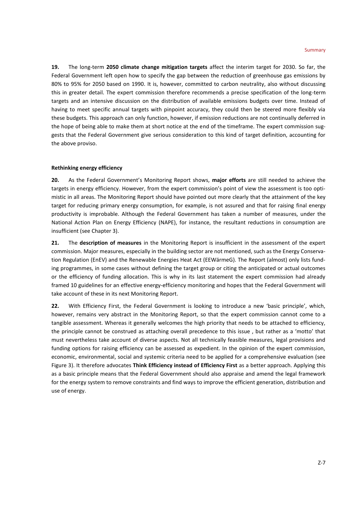**19.** The long-term **2050 climate change mitigation targets** affect the interim target for 2030. So far, the Federal Government left open how to specify the gap between the reduction of greenhouse gas emissions by 80% to 95% for 2050 based on 1990. It is, however, committed to carbon neutrality, also without discussing this in greater detail. The expert commission therefore recommends a precise specification of the long-term targets and an intensive discussion on the distribution of available emissions budgets over time. Instead of having to meet specific annual targets with pinpoint accuracy, they could then be steered more flexibly via these budgets. This approach can only function, however, if emission reductions are not continually deferred in the hope of being able to make them at short notice at the end of the timeframe. The expert commission suggests that the Federal Government give serious consideration to this kind of target definition, accounting for the above proviso.

# **Rethinking energy efficiency**

**20.** As the Federal Government's Monitoring Report shows, **major efforts** are still needed to achieve the targets in energy efficiency. However, from the expert commission's point of view the assessment is too optimistic in all areas. The Monitoring Report should have pointed out more clearly that the attainment of the key target for reducing primary energy consumption, for example, is not assured and that for raising final energy productivity is improbable. Although the Federal Government has taken a number of measures, under the National Action Plan on Energy Efficiency (NAPE), for instance, the resultant reductions in consumption are insufficient (see Chapter 3).

**21.** The **description of measures** in the Monitoring Report is insufficient in the assessment of the expert commission. Major measures, especially in the building sector are not mentioned, such as the Energy Conservation Regulation (EnEV) and the Renewable Energies Heat Act (EEWärmeG). The Report (almost) only lists funding programmes, in some cases without defining the target group or citing the anticipated or actual outcomes or the efficiency of funding allocation. This is why in its last statement the expert commission had already framed 10 guidelines for an effective energy-efficiency monitoring and hopes that the Federal Government will take account of these in its next Monitoring Report.

**22.** With Efficiency First, the Federal Government is looking to introduce a new 'basic principle', which, however, remains very abstract in the Monitoring Report, so that the expert commission cannot come to a tangible assessment. Whereas it generally welcomes the high priority that needs to be attached to efficiency, the principle cannot be construed as attaching overall precedence to this issue , but rather as a 'motto' that must nevertheless take account of diverse aspects. Not all technically feasible measures, legal provisions and funding options for raising efficiency can be assessed as expedient. In the opinion of the expert commission, economic, environmental, social and systemic criteria need to be applied for a comprehensive evaluation (see Figure 3). It therefore advocates **Think Efficiency instead of Efficiency First** as a better approach. Applying this as a basic principle means that the Federal Government should also appraise and amend the legal framework for the energy system to remove constraints and find ways to improve the efficient generation, distribution and use of energy.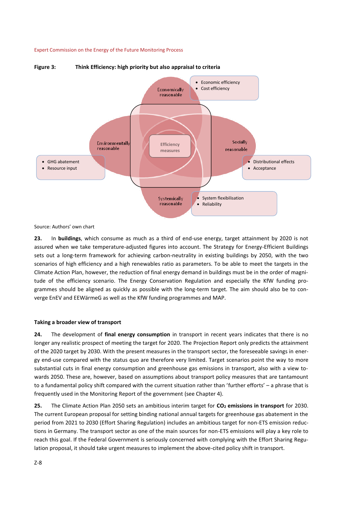

# **Figure 3: Think Efficiency: high priority but also appraisal to criteria**

Source: Authors' own chart

**23.** In **buildings**, which consume as much as a third of end-use energy, target attainment by 2020 is not assured when we take temperature-adjusted figures into account. The Strategy for Energy-Efficient Buildings sets out a long-term framework for achieving carbon-neutrality in existing buildings by 2050, with the two scenarios of high efficiency and a high renewables ratio as parameters. To be able to meet the targets in the Climate Action Plan, however, the reduction of final energy demand in buildings must be in the order of magnitude of the efficiency scenario. The Energy Conservation Regulation and especially the KfW funding programmes should be aligned as quickly as possible with the long-term target. The aim should also be to converge EnEV and EEWärmeG as well as the KfW funding programmes and MAP.

# **Taking a broader view of transport**

**24.** The development of **final energy consumption** in transport in recent years indicates that there is no longer any realistic prospect of meeting the target for 2020. The Projection Report only predicts the attainment of the 2020 target by 2030. With the present measures in the transport sector, the foreseeable savings in energy end-use compared with the status quo are therefore very limited. Target scenarios point the way to more substantial cuts in final energy consumption and greenhouse gas emissions in transport, also with a view towards 2050. These are, however, based on assumptions about transport policy measures that are tantamount to a fundamental policy shift compared with the current situation rather than 'further efforts' – a phrase that is frequently used in the Monitoring Report of the government (see Chapter 4).

**25.** The Climate Action Plan 2050 sets an ambitious interim target for **CO<sup>2</sup> emissions in transport** for 2030. The current European proposal for setting binding national annual targets for greenhouse gas abatement in the period from 2021 to 2030 (Effort Sharing Regulation) includes an ambitious target for non-ETS emission reductions in Germany. The transport sector as one of the main sources for non-ETS emissions will play a key role to reach this goal. If the Federal Government is seriously concerned with complying with the Effort Sharing Regulation proposal, it should take urgent measures to implement the above-cited policy shift in transport.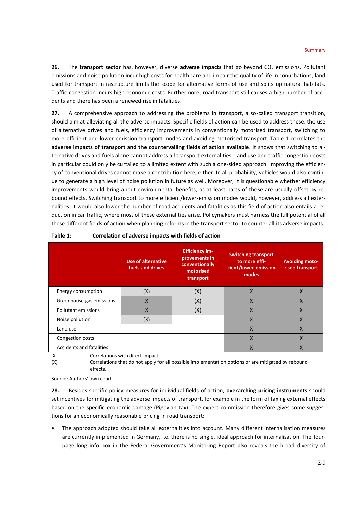**26.** The **transport sector** has, however, diverse **adverse impacts** that go beyond CO<sub>2</sub> emissions. Pollutant emissions and noise pollution incur high costs for health care and impair the quality of life in conurbations; land used for transport infrastructure limits the scope for alternative forms of use and splits up natural habitats. Traffic congestion incurs high economic costs. Furthermore, road transport still causes a high number of accidents and there has been a renewed rise in fatalities.

**27.** A comprehensive approach to addressing the problems in transport, a so-called transport transition, should aim at alleviating all the adverse impacts. Specific fields of action can be used to address these: the use of alternative drives and fuels, efficiency improvements in conventionally motorised transport, switching to more efficient and lower-emission transport modes and avoiding motorised transport. Table 1 correlates the **adverse impacts of transport and the countervailing fields of action available**. It shows that switching to alternative drives and fuels alone cannot address all transport externalities. Land use and traffic congestion costs in particular could only be curtailed to a limited extent with such a one-sided approach. Improving the efficiency of conventional drives cannot make a contribution here, either. In all probability, vehicles would also continue to generate a high level of noise pollution in future as well. Moreover, it is questionable whether efficiency improvements would bring about environmental benefits, as at least parts of these are usually offset by rebound effects. Switching transport to more efficient/lower-emission modes would, however, address all externalities. It would also lower the number of road accidents and fatalities as this field of action also entails a reduction in car traffic, where most of these externalities arise. Policymakers must harness the full potential of all these different fields of action when planning reforms in the transport sector to counter all its adverse impacts.

|                          | Use of alternative<br>fuels and drives | <b>Efficiency im-</b><br>provements in<br>conventionally<br>motorised<br>transport | <b>Switching transport</b><br>to more effi-<br>cient/lower-emission<br>modes | <b>Avoiding moto-</b><br>rised transport |
|--------------------------|----------------------------------------|------------------------------------------------------------------------------------|------------------------------------------------------------------------------|------------------------------------------|
| Energy consumption       | (X)                                    | (X)                                                                                | X                                                                            | X                                        |
| Greenhouse gas emissions | $\times$                               | (X)                                                                                | $\times$                                                                     | $\times$                                 |
| Pollutant emissions      | $\sf X$                                | (X)                                                                                | X                                                                            | X                                        |
| Noise pollution          | (X)                                    |                                                                                    | X                                                                            | X                                        |
| Land use                 |                                        |                                                                                    | X                                                                            | X                                        |
| Congestion costs         |                                        |                                                                                    | X                                                                            | X                                        |
| Accidents and fatalities |                                        |                                                                                    |                                                                              |                                          |

# **Table 1: Correlation of adverse impacts with fields of action**

X Correlations with direct impact.

(X) Correlations that do not apply for all possible implementation options or are mitigated by rebound effects.

# Source: Authors' own chart

**28.** Besides specific policy measures for individual fields of action, **overarching pricing instruments** should set incentives for mitigating the adverse impacts of transport, for example in the form of taxing external effects based on the specific economic damage (Pigovian tax). The expert commission therefore gives some suggestions for an economically reasonable pricing in road transport:

 The approach adopted should take all externalities into account. Many different internalisation measures are currently implemented in Germany, i.e. there is no single, ideal approach for internalisation. The fourpage long info box in the Federal Government's Monitoring Report also reveals the broad diversity of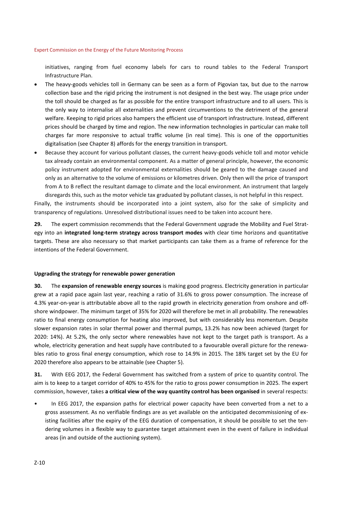initiatives, ranging from fuel economy labels for cars to round tables to the Federal Transport Infrastructure Plan.

- The heavy-goods vehicles toll in Germany can be seen as a form of Pigovian tax, but due to the narrow collection base and the rigid pricing the instrument is not designed in the best way. The usage price under the toll should be charged as far as possible for the entire transport infrastructure and to all users. This is the only way to internalise all externalities and prevent circumventions to the detriment of the general welfare. Keeping to rigid prices also hampers the efficient use of transport infrastructure. Instead, different prices should be charged by time and region. The new information technologies in particular can make toll charges far more responsive to actual traffic volume (in real time). This is one of the opportunities digitalisation (see Chapter 8) affords for the energy transition in transport.
- Because they account for various pollutant classes, the current heavy-goods vehicle toll and motor vehicle tax already contain an environmental component. As a matter of general principle, however, the economic policy instrument adopted for environmental externalities should be geared to the damage caused and only as an alternative to the volume of emissions or kilometres driven. Only then will the price of transport from A to B reflect the resultant damage to climate and the local environment. An instrument that largely disregards this, such as the motor vehicle tax graduated by pollutant classes, is not helpful in this respect.

Finally, the instruments should be incorporated into a joint system, also for the sake of simplicity and transparency of regulations. Unresolved distributional issues need to be taken into account here.

**29.** The expert commission recommends that the Federal Government upgrade the Mobility and Fuel Strategy into an **integrated long-term strategy across transport modes** with clear time horizons and quantitative targets. These are also necessary so that market participants can take them as a frame of reference for the intentions of the Federal Government.

# **Upgrading the strategy for renewable power generation**

**30.** The **expansion of renewable energy sources** is making good progress. Electricity generation in particular grew at a rapid pace again last year, reaching a ratio of 31.6% to gross power consumption. The increase of 4.3% year-on-year is attributable above all to the rapid growth in electricity generation from onshore and offshore windpower. The minimum target of 35% for 2020 will therefore be met in all probability. The renewables ratio to final energy consumption for heating also improved, but with considerably less momentum. Despite slower expansion rates in solar thermal power and thermal pumps, 13.2% has now been achieved (target for 2020: 14%). At 5.2%, the only sector where renewables have not kept to the target path is transport. As a whole, electricity generation and heat supply have contributed to a favourable overall picture for the renewables ratio to gross final energy consumption, which rose to 14.9% in 2015. The 18% target set by the EU for 2020 therefore also appears to be attainable (see Chapter 5).

**31.** With EEG 2017, the Federal Government has switched from a system of price to quantity control. The aim is to keep to a target corridor of 40% to 45% for the ratio to gross power consumption in 2025. The expert commission, however, takes **a critical view of the way quantity control has been organised** in several respects:

• In EEG 2017, the expansion paths for electrical power capacity have been converted from a net to a gross assessment. As no verifiable findings are as yet available on the anticipated decommissioning of existing facilities after the expiry of the EEG duration of compensation, it should be possible to set the tendering volumes in a flexible way to guarantee target attainment even in the event of failure in individual areas (in and outside of the auctioning system).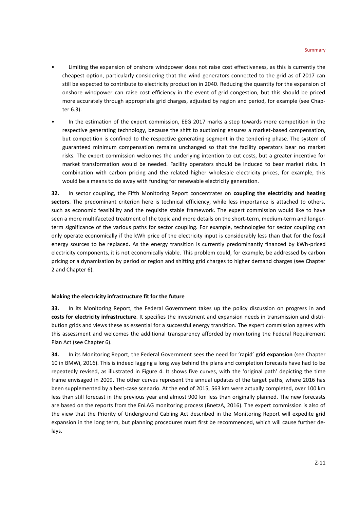- Limiting the expansion of onshore windpower does not raise cost effectiveness, as this is currently the cheapest option, particularly considering that the wind generators connected to the grid as of 2017 can still be expected to contribute to electricity production in 2040. Reducing the quantity for the expansion of onshore windpower can raise cost efficiency in the event of grid congestion, but this should be priced more accurately through appropriate grid charges, adjusted by region and period, for example (see Chapter 6.3).
- In the estimation of the expert commission, EEG 2017 marks a step towards more competition in the respective generating technology, because the shift to auctioning ensures a market-based compensation, but competition is confined to the respective generating segment in the tendering phase. The system of guaranteed minimum compensation remains unchanged so that the facility operators bear no market risks. The expert commission welcomes the underlying intention to cut costs, but a greater incentive for market transformation would be needed. Facility operators should be induced to bear market risks. In combination with carbon pricing and the related higher wholesale electricity prices, for example, this would be a means to do away with funding for renewable electricity generation.

**32.** In sector coupling, the Fifth Monitoring Report concentrates on **coupling the electricity and heating sectors**. The predominant criterion here is technical efficiency, while less importance is attached to others, such as economic feasibility and the requisite stable framework. The expert commission would like to have seen a more multifaceted treatment of the topic and more details on the short-term, medium-term and longerterm significance of the various paths for sector coupling. For example, technologies for sector coupling can only operate economically if the kWh price of the electricity input is considerably less than that for the fossil energy sources to be replaced. As the energy transition is currently predominantly financed by kWh-priced electricity components, it is not economically viable. This problem could, for example, be addressed by carbon pricing or a dynamisation by period or region and shifting grid charges to higher demand charges (see Chapter 2 and Chapter 6).

# **Making the electricity infrastructure fit for the future**

**33.** In its Monitoring Report, the Federal Government takes up the policy discussion on progress in and **costs for electricity infrastructure**. It specifies the investment and expansion needs in transmission and distribution grids and views these as essential for a successful energy transition. The expert commission agrees with this assessment and welcomes the additional transparency afforded by monitoring the Federal Requirement Plan Act (see Chapter 6).

**34.** In its Monitoring Report, the Federal Government sees the need for 'rapid' **grid expansion** (see Chapter 10 in BMWi, 2016). This is indeed lagging a long way behind the plans and completion forecasts have had to be repeatedly revised, as illustrated in Figure 4. It shows five curves, with the 'original path' depicting the time frame envisaged in 2009. The other curves represent the annual updates of the target paths, where 2016 has been supplemented by a best-case scenario. At the end of 2015, 563 km were actually completed, over 100 km less than still forecast in the previous year and almost 900 km less than originally planned. The new forecasts are based on the reports from the EnLAG monitoring process (BnetzA, 2016). The expert commission is also of the view that the Priority of Underground Cabling Act described in the Monitoring Report will expedite grid expansion in the long term, but planning procedures must first be recommenced, which will cause further delays.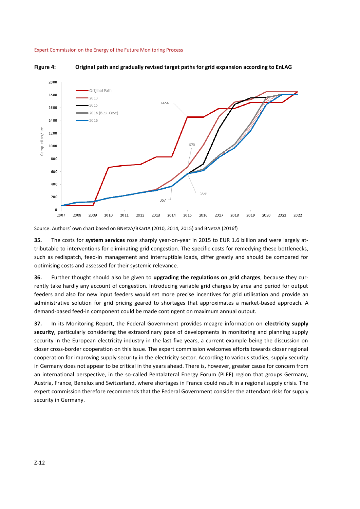





Source: Authors' own chart based on BNetzA/BKartA (2010, 2014, 2015) and BNetzA (2016f)

**35.** The costs for **system services** rose sharply year-on-year in 2015 to EUR 1.6 billion and were largely attributable to interventions for eliminating grid congestion. The specific costs for remedying these bottlenecks, such as redispatch, feed-in management and interruptible loads, differ greatly and should be compared for optimising costs and assessed for their systemic relevance.

**36.** Further thought should also be given to **upgrading the regulations on grid charges**, because they currently take hardly any account of congestion. Introducing variable grid charges by area and period for output feeders and also for new input feeders would set more precise incentives for grid utilisation and provide an administrative solution for grid pricing geared to shortages that approximates a market-based approach. A demand-based feed-in component could be made contingent on maximum annual output.

**37.** In its Monitoring Report, the Federal Government provides meagre information on **electricity supply security**, particularly considering the extraordinary pace of developments in monitoring and planning supply security in the European electricity industry in the last five years, a current example being the discussion on closer cross-border cooperation on this issue. The expert commission welcomes efforts towards closer regional cooperation for improving supply security in the electricity sector. According to various studies, supply security in Germany does not appear to be critical in the years ahead. There is, however, greater cause for concern from an international perspective, in the so-called Pentalateral Energy Forum (PLEF) region that groups Germany, Austria, France, Benelux and Switzerland, where shortages in France could result in a regional supply crisis. The expert commission therefore recommends that the Federal Government consider the attendant risks for supply security in Germany.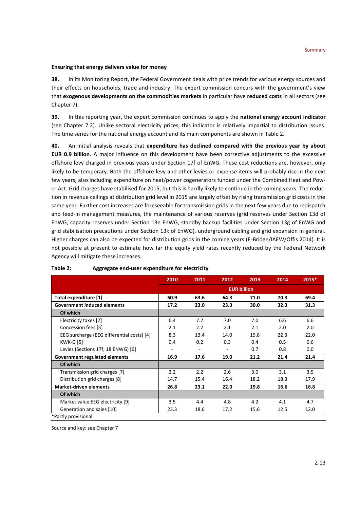# **Ensuring that energy delivers value for money**

**38.** In its Monitoring Report, the Federal Government deals with price trends for various energy sources and their effects on households, trade and industry. The expert commission concurs with the government's view that **exogenous developments on the commodities markets** in particular have **reduced costs** in all sectors (see Chapter 7).

**39.** In this reporting year, the expert commission continues to apply the **national energy account indicator** (see Chapter 7.2). Unlike sectoral electricity prices, this indicator is relatively impartial to distribution issues. The time series for the national energy account and its main components are shown in Table 2.

**40.** An initial analysis reveals that **expenditure has declined compared with the previous year by about EUR 0.9 billion**. A major influence on this development have been corrective adjustments to the excessive offshore levy charged in previous years under Section 17f of EnWG. These cost reductions are, however, only likely to be temporary. Both the offshore levy and other levies or expense items will probably rise in the next few years, also including expenditure on heat/power cogenerators funded under the Combined Heat and Power Act. Grid charges have stabilised for 2015, but this is hardly likely to continue in the coming years. The reduction in revenue ceilings at distribution grid level in 2015 are largely offset by rising transmission grid costs in the same year. Further cost increases are foreseeable for transmission grids in the next few years due to redispatch and feed-in management measures, the maintenance of various reserves (grid reserves under Section 13d of EnWG, capacity reserves under Section 13e EnWG, standby backup facilities under Section 13g of EnWG and grid stabilisation precautions under Section 13k of EnWG), underground cabling and grid expansion in general. Higher charges can also be expected for distribution grids in the coming years (E-Bridge/IAEW/Offis 2014). It is not possible at present to estimate how far the equity yield rates recently reduced by the Federal Network Agency will mitigate these increases.

|                                            | 2010               | 2011                     | 2012 | 2013 | 2014 | 2015* |  |  |
|--------------------------------------------|--------------------|--------------------------|------|------|------|-------|--|--|
|                                            | <b>EUR billion</b> |                          |      |      |      |       |  |  |
| Total expenditure [1]                      | 60.9               | 63.6                     | 64.3 | 71.0 | 70.3 | 69.4  |  |  |
| <b>Government induced elements</b>         | 17.2               | 23.0                     | 23.3 | 30.0 | 32.3 | 31.3  |  |  |
| Of which                                   |                    |                          |      |      |      |       |  |  |
| Electricity taxes [2]                      | 6.4                | 7.2                      | 7.0  | 7.0  | 6.6  | 6.6   |  |  |
| Concession fees [3]                        | 2.1                | 2.2                      | 2.1  | 2.1  | 2.0  | 2.0   |  |  |
| EEG surcharge (EEG differential costs) [4] | 8.3                | 13.4                     | 14.0 | 19.8 | 22.3 | 22.0  |  |  |
| <b>KWK-G [5]</b>                           | 0.4                | 0.2                      | 0.3  | 0.4  | 0.5  | 0.6   |  |  |
| Levies (Sections 17f, 18 ENWG) [6]         |                    | $\overline{\phantom{a}}$ | ٠    | 0.7  | 0.8  | 0.0   |  |  |
| Government regulated elements              | 16.9               | 17.6                     | 19.0 | 21.2 | 21.4 | 21.4  |  |  |
| Of which                                   |                    |                          |      |      |      |       |  |  |
| Transmission grid charges [7]              | 2.2                | 2.2                      | 2.6  | 3.0  | 3.1  | 3.5   |  |  |
| Distribution grid charges [8]              | 14.7               | 15.4                     | 16.4 | 18.2 | 18.3 | 17.9  |  |  |
| <b>Market-driven elements</b>              | 26.8               | 23.1                     | 22.0 | 19.8 | 16.6 | 16.8  |  |  |
| Of which                                   |                    |                          |      |      |      |       |  |  |
| Market value EEG electricity [9]           | 3.5                | 4.4                      | 4.8  | 4.2  | 4.1  | 4.7   |  |  |
| Generation and sales [10]                  | 23.3               | 18.6                     | 17.2 | 15.6 | 12.5 | 12.0  |  |  |
| *Partly provisional                        |                    |                          |      |      |      |       |  |  |

# **Table 2: Aggregate end-user expenditure for electricity**

Source and key: see Chapter 7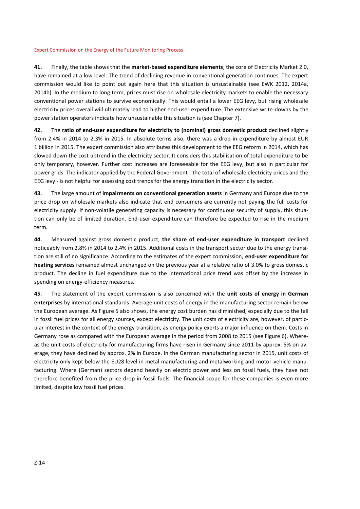**41.** Finally, the table shows that the **market-based expenditure elements**, the core of Electricity Market 2.0, have remained at a low level. The trend of declining revenue in conventional generation continues. The expert commission would like to point out again here that this situation is unsustainable (see EWK 2012, 2014a, 2014b). In the medium to long term, prices must rise on wholesale electricity markets to enable the necessary conventional power stations to survive economically. This would entail a lower EEG levy, but rising wholesale electricity prices overall will ultimately lead to higher end-user expenditure. The extensive write-downs by the power station operators indicate how unsustainable this situation is (see Chapter 7).

**42.** The **ratio of end-user expenditure for electricity to (nominal) gross domestic product** declined slightly from 2.4% in 2014 to 2.3% in 2015. In absolute terms also, there was a drop in expenditure by almost EUR 1 billion in 2015. The expert commission also attributes this development to the EEG reform in 2014, which has slowed down the cost uptrend in the electricity sector. It considers this stabilisation of total expenditure to be only temporary, however. Further cost increases are foreseeable for the EEG levy, but also in particular for power grids. The indicator applied by the Federal Government - the total of wholesale electricity prices and the EEG levy - is not helpful for assessing cost trends for the energy transition in the electricity sector.

**43.** The large amount of **impairments on conventional generation assets** in Germany and Europe due to the price drop on wholesale markets also indicate that end consumers are currently not paying the full costs for electricity supply. If non-volatile generating capacity is necessary for continuous security of supply, this situation can only be of limited duration. End-user expenditure can therefore be expected to rise in the medium term.

**44.** Measured against gross domestic product, **the share of end-user expenditure in transport** declined noticeably from 2.8% in 2014 to 2.4% in 2015. Additional costs in the transport sector due to the energy transition are still of no significance. According to the estimates of the expert commission, **end-user expenditure for heating services** remained almost unchanged on the previous year at a relative ratio of 3.0% to gross domestic product. The decline in fuel expenditure due to the international price trend was offset by the increase in spending on energy-efficiency measures.

**45.** The statement of the expert commission is also concerned with the **unit costs of energy in German enterprises** by international standards. Average unit costs of energy in the manufacturing sector remain below the European average. As Figure 5 also shows, the energy cost burden has diminished, especially due to the fall in fossil fuel prices for all energy sources, except electricity. The unit costs of electricity are, however, of particular interest in the context of the energy transition, as energy policy exerts a major influence on them. Costs in Germany rose as compared with the European average in the period from 2008 to 2015 (see Figure 6). Whereas the unit costs of electricity for manufacturing firms have risen in Germany since 2011 by approx. 5% on average, they have declined by approx. 2% in Europe. In the German manufacturing sector in 2015, unit costs of electricity only kept below the EU28 level in metal manufacturing and metalworking and motor-vehicle manufacturing. Where (German) sectors depend heavily on electric power and less on fossil fuels, they have not therefore benefited from the price drop in fossil fuels. The financial scope for these companies is even more limited, despite low fossil fuel prices.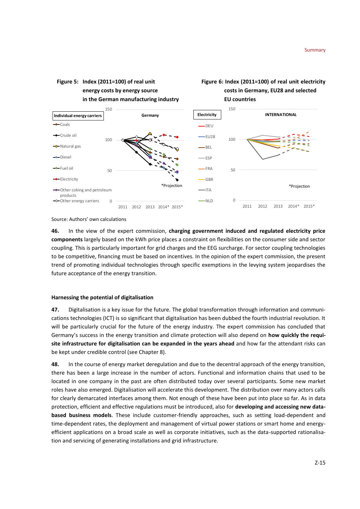

Source: Authors' own calculations

**46.** In the view of the expert commission, **charging government induced and regulated electricity price components** largely based on the kWh price places a constraint on flexibilities on the consumer side and sector coupling. This is particularly important for grid charges and the EEG surcharge. For sector coupling technologies to be competitive, financing must be based on incentives. In the opinion of the expert commission, the present trend of promoting individual technologies through specific exemptions in the levying system jeopardises the future acceptance of the energy transition.

#### **Harnessing the potential of digitalisation**

**47.** Digitalisation is a key issue for the future. The global transformation through information and communications technologies (ICT) is so significant that digitalisation has been dubbed the fourth industrial revolution. It will be particularly crucial for the future of the energy industry. The expert commission has concluded that Germany's success in the energy transition and climate protection will also depend on **how quickly the requisite infrastructure for digitalisation can be expanded in the years ahead** and how far the attendant risks can be kept under credible control (see Chapter 8).

**48.** In the course of energy market deregulation and due to the decentral approach of the energy transition, there has been a large increase in the number of actors. Functional and information chains that used to be located in one company in the past are often distributed today over several participants. Some new market roles have also emerged. Digitalisation will accelerate this development. The distribution over many actors calls for clearly demarcated interfaces among them. Not enough of these have been put into place so far. As in data protection, efficient and effective regulations must be introduced, also for **developing and accessing new databased business models**. These include customer-friendly approaches, such as setting load-dependent and time-dependent rates, the deployment and management of virtual power stations or smart home and energyefficient applications on a broad scale as well as corporate initiatives, such as the data-supported rationalisation and servicing of generating installations and grid infrastructure.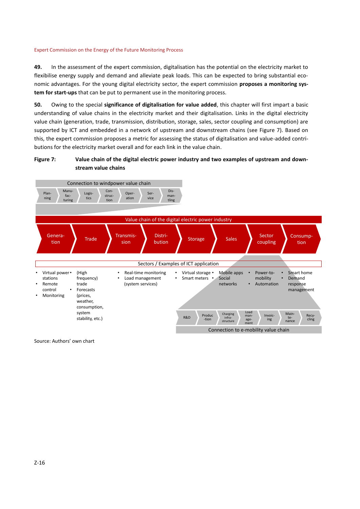**49.** In the assessment of the expert commission, digitalisation has the potential on the electricity market to flexibilise energy supply and demand and alleviate peak loads. This can be expected to bring substantial economic advantages. For the young digital electricity sector, the expert commission **proposes a monitoring system for start-ups** that can be put to permanent use in the monitoring process.

**50.** Owing to the special **significance of digitalisation for value added**, this chapter will first impart a basic understanding of value chains in the electricity market and their digitalisation. Links in the digital electricity value chain (generation, trade, transmission, distribution, storage, sales, sector coupling and consumption) are supported by ICT and embedded in a network of upstream and downstream chains (see Figure 7). Based on this, the expert commission proposes a metric for assessing the status of digitalisation and value-added contributions for the electricity market overall and for each link in the value chain.

# **Figure 7: Value chain of the digital electric power industry and two examples of upstream and downstream value chains**



Source: Authors' own chart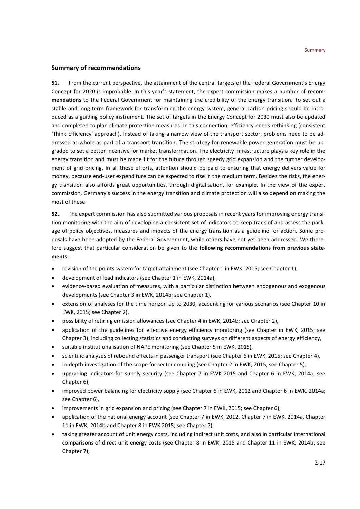# **Summary of recommendations**

**51.** From the current perspective, the attainment of the central targets of the Federal Government's Energy Concept for 2020 is improbable. In this year's statement, the expert commission makes a number of **recommendations** to the Federal Government for maintaining the credibility of the energy transition. To set out a stable and long-term framework for transforming the energy system, general carbon pricing should be introduced as a guiding policy instrument. The set of targets in the Energy Concept for 2030 must also be updated and completed to plan climate protection measures. In this connection, efficiency needs rethinking (consistent 'Think Efficiency' approach). Instead of taking a narrow view of the transport sector, problems need to be addressed as whole as part of a transport transition. The strategy for renewable power generation must be upgraded to set a better incentive for market transformation. The electricity infrastructure plays a key role in the energy transition and must be made fit for the future through speedy grid expansion and the further development of grid pricing. In all these efforts, attention should be paid to ensuring that energy delivers value for money, because end-user expenditure can be expected to rise in the medium term. Besides the risks, the energy transition also affords great opportunities, through digitalisation, for example. In the view of the expert commission, Germany's success in the energy transition and climate protection will also depend on making the most of these.

**52.** The expert commission has also submitted various proposals in recent years for improving energy transition monitoring with the aim of developing a consistent set of indicators to keep track of and assess the package of policy objectives, measures and impacts of the energy transition as a guideline for action. Some proposals have been adopted by the Federal Government, while others have not yet been addressed. We therefore suggest that particular consideration be given to the **following recommendations from previous statements**:

- revision of the points system for target attainment (see Chapter 1 in EWK, 2015; see Chapter 1),
- development of lead indicators (see Chapter 1 in EWK, 2014a),
- evidence-based evaluation of measures, with a particular distinction between endogenous and exogenous developments (see Chapter 3 in EWK, 2014b; see Chapter 1),
- extension of analyses for the time horizon up to 2030, accounting for various scenarios (see Chapter 10 in EWK, 2015; see Chapter 2),
- possibility of retiring emission allowances (see Chapter 4 in EWK, 2014b; see Chapter 2),
- application of the guidelines for effective energy efficiency monitoring (see Chapter in EWK, 2015; see Chapter 3), including collecting statistics and conducting surveys on different aspects of energy efficiency,
- suitable institutionalisation of NAPE monitoring (see Chapter 5 in EWK, 2015),
- scientific analyses of rebound effects in passenger transport (see Chapter 6 in EWK, 2015; see Chapter 4),
- in-depth investigation of the scope for sector coupling (see Chapter 2 in EWK, 2015; see Chapter 5),
- upgrading indicators for supply security (see Chapter 7 in EWK 2015 and Chapter 6 in EWK, 2014a; see Chapter 6),
- improved power balancing for electricity supply (see Chapter 6 in EWK, 2012 and Chapter 6 in EWK, 2014a; see Chapter 6),
- improvements in grid expansion and pricing (see Chapter 7 in EWK, 2015; see Chapter 6),
- application of the national energy account (see Chapter 7 in EWK, 2012, Chapter 7 in EWK, 2014a, Chapter 11 in EWK, 2014b and Chapter 8 in EWK 2015; see Chapter 7),
- taking greater account of unit energy costs, including indirect unit costs, and also in particular international comparisons of direct unit energy costs (see Chapter 8 in EWK, 2015 and Chapter 11 in EWK, 2014b; see Chapter 7),